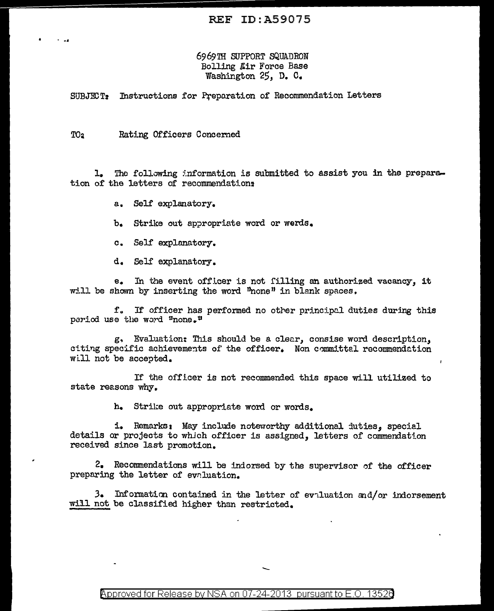## 6969TH SUPPORT SQUADRON Bolling Mir Force Base Washington 25, D. C.

SUBJECT: Instructions for Preparation of Recommendation Letters

TO<sub>2</sub> Rating Officers Concerned

The following information is submitted to assist you in the prepara- $\mathbf{L}$ tion of the letters of recommendations

- a. Self explanatory.
- b. Strike out appropriate word or werds.
- c. Self explanatory.

d. Self explanatory.

In the event officer is not filling an authorized vacancy, it  $e_{\bullet}$ will be shown by inserting the word "none" in blank spaces.

f. If officer has performed no other principal duties during this period use the word "none."

g, Evaluation: This should be a clear, consise word description, citing specific achievements of the officer. Non committel recommendation will not be accepted.

If the officer is not recommended this space will utilized to state reasons why.

h. Strike out appropriate word or words.

i. Remarks: May include noteworthy additional duties, special details or projects to which officer is assigned, letters of commendation received since last promotion.

2. Recommendations will be indorsed by the supervisor of the officer preparing the letter of evaluation.

3. Information contained in the letter of evaluation and/or indorsement will not be classified higher than restricted.